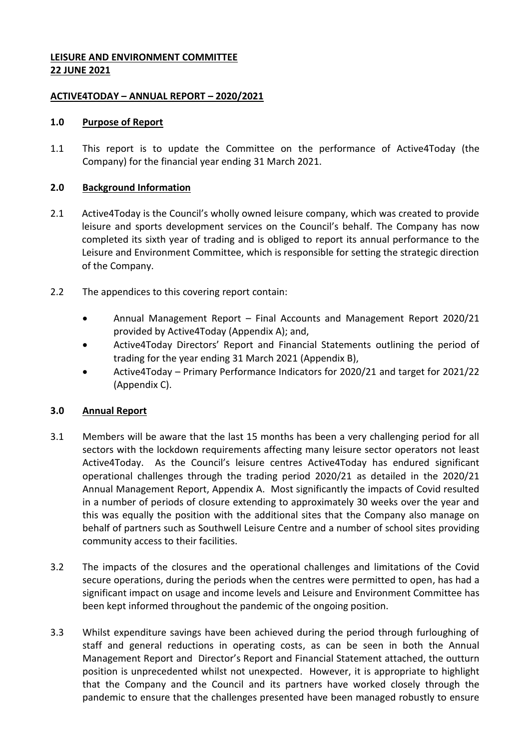## **LEISURE AND ENVIRONMENT COMMITTEE 22 JUNE 2021**

### **ACTIVE4TODAY – ANNUAL REPORT – 2020/2021**

### **1.0 Purpose of Report**

1.1 This report is to update the Committee on the performance of Active4Today (the Company) for the financial year ending 31 March 2021.

## **2.0 Background Information**

- 2.1 Active4Today is the Council's wholly owned leisure company, which was created to provide leisure and sports development services on the Council's behalf. The Company has now completed its sixth year of trading and is obliged to report its annual performance to the Leisure and Environment Committee, which is responsible for setting the strategic direction of the Company.
- 2.2 The appendices to this covering report contain:
	- Annual Management Report Final Accounts and Management Report 2020/21 provided by Active4Today (Appendix A); and,
	- Active4Today Directors' Report and Financial Statements outlining the period of trading for the year ending 31 March 2021 (Appendix B),
	- Active4Today Primary Performance Indicators for 2020/21 and target for 2021/22 (Appendix C).

# **3.0 Annual Report**

- 3.1 Members will be aware that the last 15 months has been a very challenging period for all sectors with the lockdown requirements affecting many leisure sector operators not least Active4Today. As the Council's leisure centres Active4Today has endured significant operational challenges through the trading period 2020/21 as detailed in the 2020/21 Annual Management Report, Appendix A. Most significantly the impacts of Covid resulted in a number of periods of closure extending to approximately 30 weeks over the year and this was equally the position with the additional sites that the Company also manage on behalf of partners such as Southwell Leisure Centre and a number of school sites providing community access to their facilities.
- 3.2 The impacts of the closures and the operational challenges and limitations of the Covid secure operations, during the periods when the centres were permitted to open, has had a significant impact on usage and income levels and Leisure and Environment Committee has been kept informed throughout the pandemic of the ongoing position.
- 3.3 Whilst expenditure savings have been achieved during the period through furloughing of staff and general reductions in operating costs, as can be seen in both the Annual Management Report and Director's Report and Financial Statement attached, the outturn position is unprecedented whilst not unexpected. However, it is appropriate to highlight that the Company and the Council and its partners have worked closely through the pandemic to ensure that the challenges presented have been managed robustly to ensure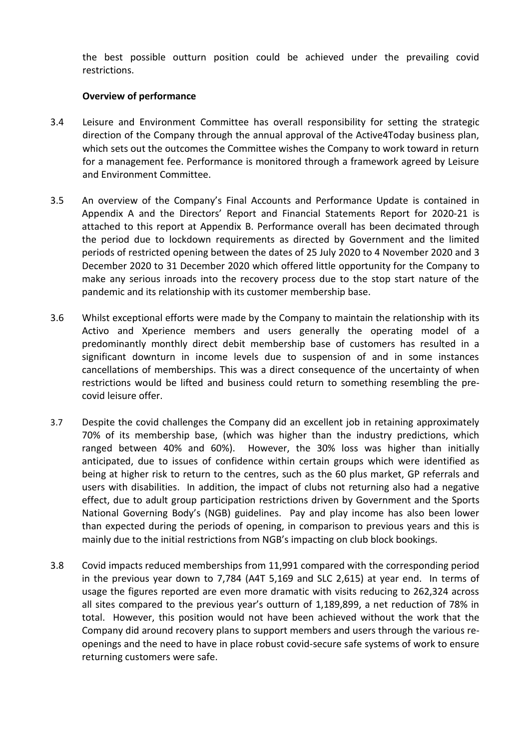the best possible outturn position could be achieved under the prevailing covid restrictions.

### **Overview of performance**

- 3.4 Leisure and Environment Committee has overall responsibility for setting the strategic direction of the Company through the annual approval of the Active4Today business plan, which sets out the outcomes the Committee wishes the Company to work toward in return for a management fee. Performance is monitored through a framework agreed by Leisure and Environment Committee.
- 3.5 An overview of the Company's Final Accounts and Performance Update is contained in Appendix A and the Directors' Report and Financial Statements Report for 2020-21 is attached to this report at Appendix B. Performance overall has been decimated through the period due to lockdown requirements as directed by Government and the limited periods of restricted opening between the dates of 25 July 2020 to 4 November 2020 and 3 December 2020 to 31 December 2020 which offered little opportunity for the Company to make any serious inroads into the recovery process due to the stop start nature of the pandemic and its relationship with its customer membership base.
- 3.6 Whilst exceptional efforts were made by the Company to maintain the relationship with its Activo and Xperience members and users generally the operating model of a predominantly monthly direct debit membership base of customers has resulted in a significant downturn in income levels due to suspension of and in some instances cancellations of memberships. This was a direct consequence of the uncertainty of when restrictions would be lifted and business could return to something resembling the precovid leisure offer.
- 3.7 Despite the covid challenges the Company did an excellent job in retaining approximately 70% of its membership base, (which was higher than the industry predictions, which ranged between 40% and 60%). However, the 30% loss was higher than initially anticipated, due to issues of confidence within certain groups which were identified as being at higher risk to return to the centres, such as the 60 plus market, GP referrals and users with disabilities. In addition, the impact of clubs not returning also had a negative effect, due to adult group participation restrictions driven by Government and the Sports National Governing Body's (NGB) guidelines. Pay and play income has also been lower than expected during the periods of opening, in comparison to previous years and this is mainly due to the initial restrictions from NGB's impacting on club block bookings.
- 3.8 Covid impacts reduced memberships from 11,991 compared with the corresponding period in the previous year down to 7,784 (A4T 5,169 and SLC 2,615) at year end. In terms of usage the figures reported are even more dramatic with visits reducing to 262,324 across all sites compared to the previous year's outturn of 1,189,899, a net reduction of 78% in total. However, this position would not have been achieved without the work that the Company did around recovery plans to support members and users through the various reopenings and the need to have in place robust covid-secure safe systems of work to ensure returning customers were safe.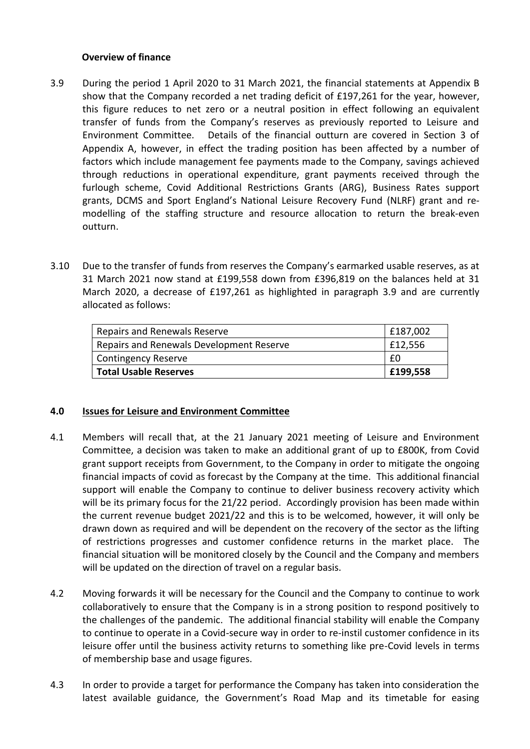### **Overview of finance**

- 3.9 During the period 1 April 2020 to 31 March 2021, the financial statements at Appendix B show that the Company recorded a net trading deficit of £197,261 for the year, however, this figure reduces to net zero or a neutral position in effect following an equivalent transfer of funds from the Company's reserves as previously reported to Leisure and Environment Committee. Details of the financial outturn are covered in Section 3 of Appendix A, however, in effect the trading position has been affected by a number of factors which include management fee payments made to the Company, savings achieved through reductions in operational expenditure, grant payments received through the furlough scheme, Covid Additional Restrictions Grants (ARG), Business Rates support grants, DCMS and Sport England's National Leisure Recovery Fund (NLRF) grant and remodelling of the staffing structure and resource allocation to return the break-even outturn.
- 3.10 Due to the transfer of funds from reserves the Company's earmarked usable reserves, as at 31 March 2021 now stand at £199,558 down from £396,819 on the balances held at 31 March 2020, a decrease of £197,261 as highlighted in paragraph 3.9 and are currently allocated as follows:

| Repairs and Renewals Reserve             | £187,002 |
|------------------------------------------|----------|
| Repairs and Renewals Development Reserve | £12,556  |
| <b>Contingency Reserve</b>               | £0       |
| <b>Total Usable Reserves</b>             | £199,558 |

### **4.0 Issues for Leisure and Environment Committee**

- 4.1 Members will recall that, at the 21 January 2021 meeting of Leisure and Environment Committee, a decision was taken to make an additional grant of up to £800K, from Covid grant support receipts from Government, to the Company in order to mitigate the ongoing financial impacts of covid as forecast by the Company at the time. This additional financial support will enable the Company to continue to deliver business recovery activity which will be its primary focus for the 21/22 period. Accordingly provision has been made within the current revenue budget 2021/22 and this is to be welcomed, however, it will only be drawn down as required and will be dependent on the recovery of the sector as the lifting of restrictions progresses and customer confidence returns in the market place. The financial situation will be monitored closely by the Council and the Company and members will be updated on the direction of travel on a regular basis.
- 4.2 Moving forwards it will be necessary for the Council and the Company to continue to work collaboratively to ensure that the Company is in a strong position to respond positively to the challenges of the pandemic. The additional financial stability will enable the Company to continue to operate in a Covid-secure way in order to re-instil customer confidence in its leisure offer until the business activity returns to something like pre-Covid levels in terms of membership base and usage figures.
- 4.3 In order to provide a target for performance the Company has taken into consideration the latest available guidance, the Government's Road Map and its timetable for easing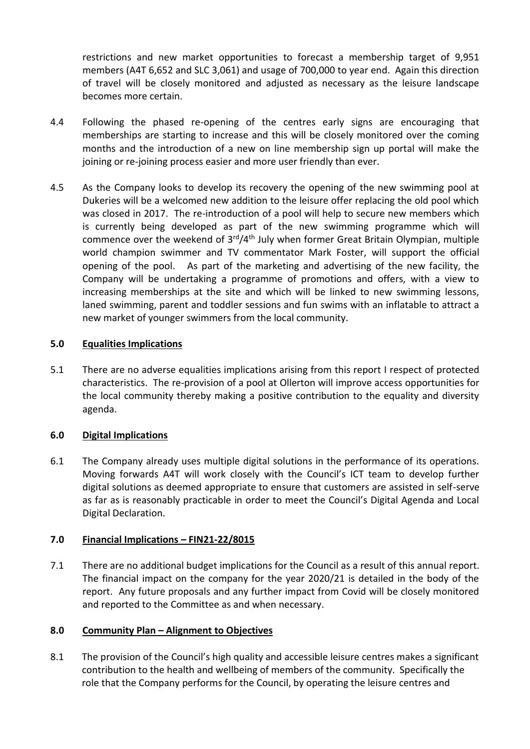restrictions and new market opportunities to forecast a membership target of 9,951 members (A4T 6,652 and SLC 3,061) and usage of 700,000 to year end. Again this direction of travel will be closely monitored and adjusted as necessary as the leisure landscape becomes more certain.

- 4.4 Following the phased re-opening of the centres early signs are encouraging that memberships are starting to increase and this will be closely monitored over the coming months and the introduction of a new on line membership sign up portal will make the joining or re-joining process easier and more user friendly than ever.
- 4.5 As the Company looks to develop its recovery the opening of the new swimming pool at Dukeries will be a welcomed new addition to the leisure offer replacing the old pool which was closed in 2017. The re-introduction of a pool will help to secure new members which is currently being developed as part of the new swimming programme which will commence over the weekend of  $3<sup>rd</sup>/4<sup>th</sup>$  July when former Great Britain Olympian, multiple world champion swimmer and TV commentator Mark Foster, will support the official opening of the pool. As part of the marketing and advertising of the new facility, the Company will be undertaking a programme of promotions and offers, with a view to increasing memberships at the site and which will be linked to new swimming lessons, laned swimming, parent and toddler sessions and fun swims with an inflatable to attract a new market of younger swimmers from the local community.

# **5.0 Equalities Implications**

5.1 There are no adverse equalities implications arising from this report I respect of protected characteristics. The re-provision of a pool at Ollerton will improve access opportunities for the local community thereby making a positive contribution to the equality and diversity agenda.

### **6.0 Digital Implications**

6.1 The Company already uses multiple digital solutions in the performance of its operations. Moving forwards A4T will work closely with the Council's ICT team to develop further digital solutions as deemed appropriate to ensure that customers are assisted in self-serve as far as is reasonably practicable in order to meet the Council's Digital Agenda and Local Digital Declaration.

### **7.0 Financial Implications – FIN21-22/8015**

7.1 There are no additional budget implications for the Council as a result of this annual report. The financial impact on the company for the year 2020/21 is detailed in the body of the report. Any future proposals and any further impact from Covid will be closely monitored and reported to the Committee as and when necessary.

### **8.0 Community Plan – Alignment to Objectives**

8.1 The provision of the Council's high quality and accessible leisure centres makes a significant contribution to the health and wellbeing of members of the community. Specifically the role that the Company performs for the Council, by operating the leisure centres and